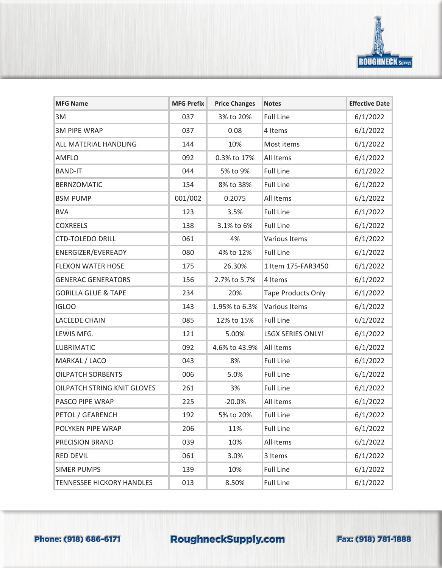

| <b>MFG Name</b>                  | <b>MFG Prefix</b> | <b>Price Changes</b> | <b>Notes</b>              | <b>Effective Date</b> |
|----------------------------------|-------------------|----------------------|---------------------------|-----------------------|
| 3M                               | 037               | 3% to 20%            | <b>Full Line</b>          | 6/1/2022              |
| <b>3M PIPE WRAP</b>              | 037               | 0.08                 | 4 Items                   | 6/1/2022              |
| ALL MATERIAL HANDLING            | 144               | 10%                  | Most items                | 6/1/2022              |
| <b>AMFLO</b>                     | 092               | 0.3% to 17%          | All Items                 | 6/1/2022              |
| <b>BAND-IT</b>                   | 044               | 5% to 9%             | <b>Full Line</b>          | 6/1/2022              |
| <b>BERNZOMATIC</b>               | 154               | 8% to 38%            | <b>Full Line</b>          | 6/1/2022              |
| <b>BSM PUMP</b>                  | 001/002           | 0.2075               | All Items                 | 6/1/2022              |
| <b>BVA</b>                       | 123               | 3.5%                 | <b>Full Line</b>          | 6/1/2022              |
| <b>COXREELS</b>                  | 138               | 3.1% to 6%           | <b>Full Line</b>          | 6/1/2022              |
| <b>CTD-TOLEDO DRILL</b>          | 061               | 4%                   | Various Items             | 6/1/2022              |
| ENERGIZER/EVEREADY               | 080               | 4% to 12%            | <b>Full Line</b>          | 6/1/2022              |
| <b>FLEXON WATER HOSE</b>         | 175               | 26.30%               | 1 Item 175-FAR3450        | 6/1/2022              |
| <b>GENERAC GENERATORS</b>        | 156               | 2.7% to 5.7%         | 4 Items                   | 6/1/2022              |
| <b>GORILLA GLUE &amp; TAPE</b>   | 234               | 20%                  | <b>Tape Products Only</b> | 6/1/2022              |
| <b>IGLOO</b>                     | 143               | 1.95% to 6.3%        | <b>Various Items</b>      | 6/1/2022              |
| <b>LACLEDE CHAIN</b>             | 085               | 12% to 15%           | <b>Full Line</b>          | 6/1/2022              |
| LEWIS MFG.                       | 121               | 5.00%                | <b>LSGX SERIES ONLY!</b>  | 6/1/2022              |
| <b>LUBRIMATIC</b>                | 092               | 4.6% to 43.9%        | All Items                 | 6/1/2022              |
| MARKAL / LACO                    | 043               | 8%                   | <b>Full Line</b>          | 6/1/2022              |
| <b>OILPATCH SORBENTS</b>         | 006               | 5.0%                 | <b>Full Line</b>          | 6/1/2022              |
| OILPATCH STRING KNIT GLOVES      | 261               | 3%                   | <b>Full Line</b>          | 6/1/2022              |
| PASCO PIPE WRAP                  | 225               | $-20.0%$             | All Items                 | 6/1/2022              |
| PETOL / GEARENCH                 | 192               | 5% to 20%            | <b>Full Line</b>          | 6/1/2022              |
| POLYKEN PIPE WRAP                | 206               | 11%                  | <b>Full Line</b>          | 6/1/2022              |
| PRECISION BRAND                  | 039               | 10%                  | All Items                 | 6/1/2022              |
| <b>RED DEVIL</b>                 | 061               | 3.0%                 | 3 Items                   | 6/1/2022              |
| <b>SIMER PUMPS</b>               | 139               | 10%                  | <b>Full Line</b>          | 6/1/2022              |
| <b>TENNESSEE HICKORY HANDLES</b> | 013               | 8.50%                | <b>Full Line</b>          | 6/1/2022              |

## Phone: (918) 686-6171 RoughneckSupply.com Fax: (918) 781-1888